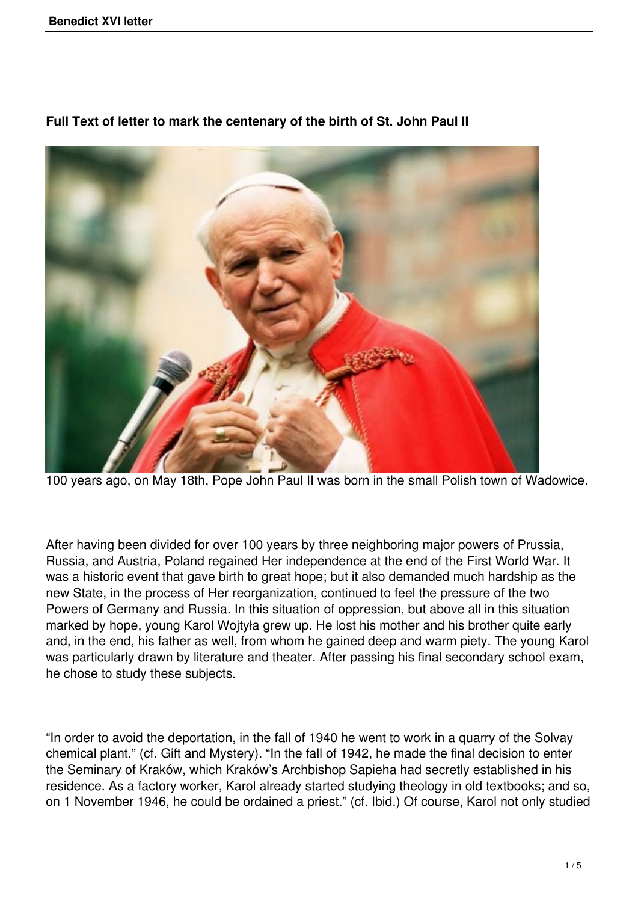

**Full Text of letter to mark the centenary of the birth of St. John Paul II**

100 years ago, on May 18th, Pope John Paul II was born in the small Polish town of Wadowice.

After having been divided for over 100 years by three neighboring major powers of Prussia, Russia, and Austria, Poland regained Her independence at the end of the First World War. It was a historic event that gave birth to great hope; but it also demanded much hardship as the new State, in the process of Her reorganization, continued to feel the pressure of the two Powers of Germany and Russia. In this situation of oppression, but above all in this situation marked by hope, young Karol Wojtyła grew up. He lost his mother and his brother quite early and, in the end, his father as well, from whom he gained deep and warm piety. The young Karol was particularly drawn by literature and theater. After passing his final secondary school exam, he chose to study these subjects.

"In order to avoid the deportation, in the fall of 1940 he went to work in a quarry of the Solvay chemical plant." (cf. Gift and Mystery). "In the fall of 1942, he made the final decision to enter the Seminary of Kraków, which Kraków's Archbishop Sapieha had secretly established in his residence. As a factory worker, Karol already started studying theology in old textbooks; and so, on 1 November 1946, he could be ordained a priest." (cf. Ibid.) Of course, Karol not only studied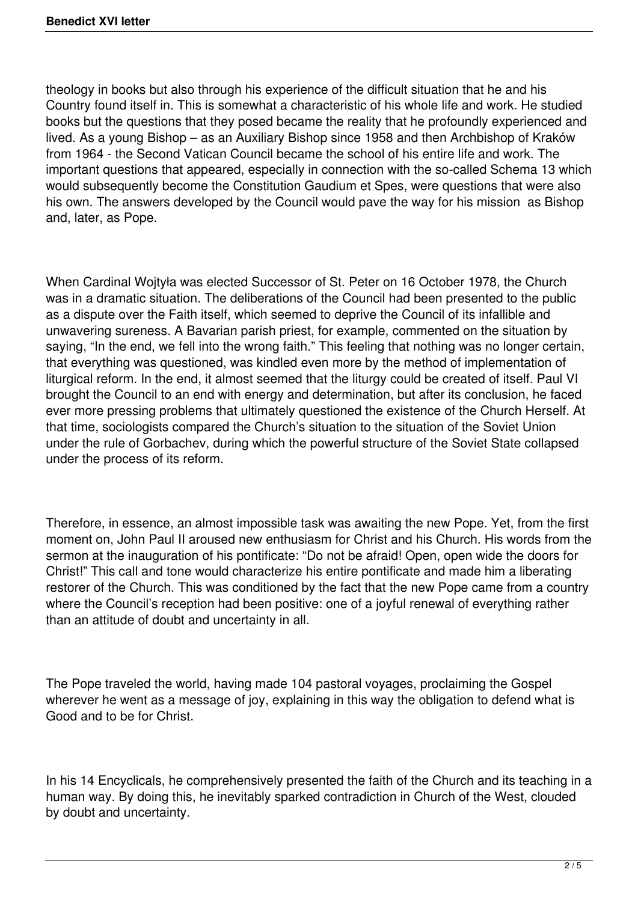theology in books but also through his experience of the difficult situation that he and his Country found itself in. This is somewhat a characteristic of his whole life and work. He studied books but the questions that they posed became the reality that he profoundly experienced and lived. As a young Bishop – as an Auxiliary Bishop since 1958 and then Archbishop of Kraków from 1964 - the Second Vatican Council became the school of his entire life and work. The important questions that appeared, especially in connection with the so-called Schema 13 which would subsequently become the Constitution Gaudium et Spes, were questions that were also his own. The answers developed by the Council would pave the way for his mission as Bishop and, later, as Pope.

When Cardinal Wojtyła was elected Successor of St. Peter on 16 October 1978, the Church was in a dramatic situation. The deliberations of the Council had been presented to the public as a dispute over the Faith itself, which seemed to deprive the Council of its infallible and unwavering sureness. A Bavarian parish priest, for example, commented on the situation by saying, "In the end, we fell into the wrong faith." This feeling that nothing was no longer certain, that everything was questioned, was kindled even more by the method of implementation of liturgical reform. In the end, it almost seemed that the liturgy could be created of itself. Paul VI brought the Council to an end with energy and determination, but after its conclusion, he faced ever more pressing problems that ultimately questioned the existence of the Church Herself. At that time, sociologists compared the Church's situation to the situation of the Soviet Union under the rule of Gorbachev, during which the powerful structure of the Soviet State collapsed under the process of its reform.

Therefore, in essence, an almost impossible task was awaiting the new Pope. Yet, from the first moment on, John Paul II aroused new enthusiasm for Christ and his Church. His words from the sermon at the inauguration of his pontificate: "Do not be afraid! Open, open wide the doors for Christ!" This call and tone would characterize his entire pontificate and made him a liberating restorer of the Church. This was conditioned by the fact that the new Pope came from a country where the Council's reception had been positive: one of a joyful renewal of everything rather than an attitude of doubt and uncertainty in all.

The Pope traveled the world, having made 104 pastoral voyages, proclaiming the Gospel wherever he went as a message of joy, explaining in this way the obligation to defend what is Good and to be for Christ.

In his 14 Encyclicals, he comprehensively presented the faith of the Church and its teaching in a human way. By doing this, he inevitably sparked contradiction in Church of the West, clouded by doubt and uncertainty.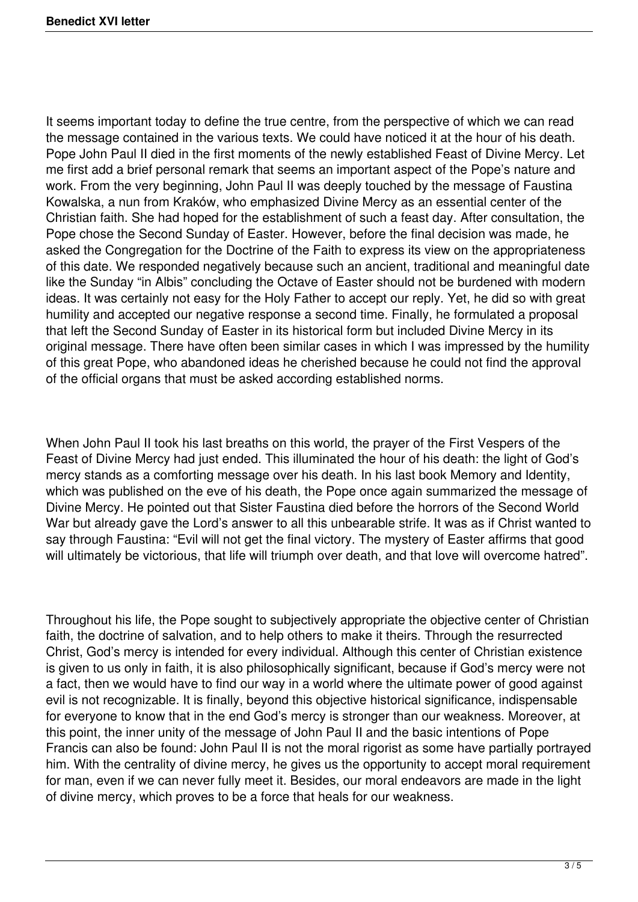It seems important today to define the true centre, from the perspective of which we can read the message contained in the various texts. We could have noticed it at the hour of his death. Pope John Paul II died in the first moments of the newly established Feast of Divine Mercy. Let me first add a brief personal remark that seems an important aspect of the Pope's nature and work. From the very beginning, John Paul II was deeply touched by the message of Faustina Kowalska, a nun from Kraków, who emphasized Divine Mercy as an essential center of the Christian faith. She had hoped for the establishment of such a feast day. After consultation, the Pope chose the Second Sunday of Easter. However, before the final decision was made, he asked the Congregation for the Doctrine of the Faith to express its view on the appropriateness of this date. We responded negatively because such an ancient, traditional and meaningful date like the Sunday "in Albis" concluding the Octave of Easter should not be burdened with modern ideas. It was certainly not easy for the Holy Father to accept our reply. Yet, he did so with great humility and accepted our negative response a second time. Finally, he formulated a proposal that left the Second Sunday of Easter in its historical form but included Divine Mercy in its original message. There have often been similar cases in which I was impressed by the humility of this great Pope, who abandoned ideas he cherished because he could not find the approval of the official organs that must be asked according established norms.

When John Paul II took his last breaths on this world, the prayer of the First Vespers of the Feast of Divine Mercy had just ended. This illuminated the hour of his death: the light of God's mercy stands as a comforting message over his death. In his last book Memory and Identity, which was published on the eve of his death, the Pope once again summarized the message of Divine Mercy. He pointed out that Sister Faustina died before the horrors of the Second World War but already gave the Lord's answer to all this unbearable strife. It was as if Christ wanted to say through Faustina: "Evil will not get the final victory. The mystery of Easter affirms that good will ultimately be victorious, that life will triumph over death, and that love will overcome hatred".

Throughout his life, the Pope sought to subjectively appropriate the objective center of Christian faith, the doctrine of salvation, and to help others to make it theirs. Through the resurrected Christ, God's mercy is intended for every individual. Although this center of Christian existence is given to us only in faith, it is also philosophically significant, because if God's mercy were not a fact, then we would have to find our way in a world where the ultimate power of good against evil is not recognizable. It is finally, beyond this objective historical significance, indispensable for everyone to know that in the end God's mercy is stronger than our weakness. Moreover, at this point, the inner unity of the message of John Paul II and the basic intentions of Pope Francis can also be found: John Paul II is not the moral rigorist as some have partially portrayed him. With the centrality of divine mercy, he gives us the opportunity to accept moral requirement for man, even if we can never fully meet it. Besides, our moral endeavors are made in the light of divine mercy, which proves to be a force that heals for our weakness.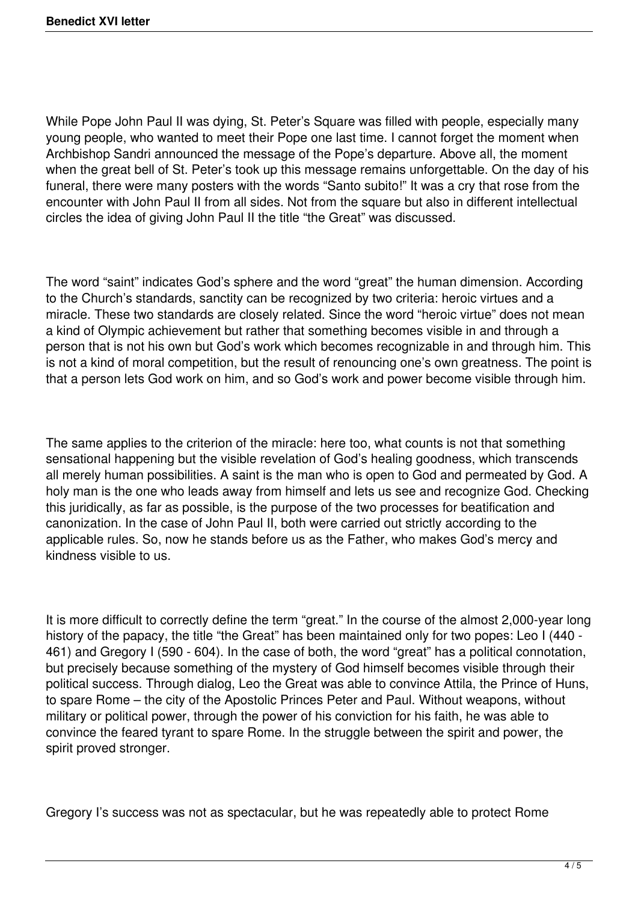While Pope John Paul II was dying, St. Peter's Square was filled with people, especially many young people, who wanted to meet their Pope one last time. I cannot forget the moment when Archbishop Sandri announced the message of the Pope's departure. Above all, the moment when the great bell of St. Peter's took up this message remains unforgettable. On the day of his funeral, there were many posters with the words "Santo subito!" It was a cry that rose from the encounter with John Paul II from all sides. Not from the square but also in different intellectual circles the idea of giving John Paul II the title "the Great" was discussed.

The word "saint" indicates God's sphere and the word "great" the human dimension. According to the Church's standards, sanctity can be recognized by two criteria: heroic virtues and a miracle. These two standards are closely related. Since the word "heroic virtue" does not mean a kind of Olympic achievement but rather that something becomes visible in and through a person that is not his own but God's work which becomes recognizable in and through him. This is not a kind of moral competition, but the result of renouncing one's own greatness. The point is that a person lets God work on him, and so God's work and power become visible through him.

The same applies to the criterion of the miracle: here too, what counts is not that something sensational happening but the visible revelation of God's healing goodness, which transcends all merely human possibilities. A saint is the man who is open to God and permeated by God. A holy man is the one who leads away from himself and lets us see and recognize God. Checking this juridically, as far as possible, is the purpose of the two processes for beatification and canonization. In the case of John Paul II, both were carried out strictly according to the applicable rules. So, now he stands before us as the Father, who makes God's mercy and kindness visible to us.

It is more difficult to correctly define the term "great." In the course of the almost 2,000-year long history of the papacy, the title "the Great" has been maintained only for two popes: Leo I (440 - 461) and Gregory I (590 - 604). In the case of both, the word "great" has a political connotation, but precisely because something of the mystery of God himself becomes visible through their political success. Through dialog, Leo the Great was able to convince Attila, the Prince of Huns, to spare Rome – the city of the Apostolic Princes Peter and Paul. Without weapons, without military or political power, through the power of his conviction for his faith, he was able to convince the feared tyrant to spare Rome. In the struggle between the spirit and power, the spirit proved stronger.

Gregory I's success was not as spectacular, but he was repeatedly able to protect Rome